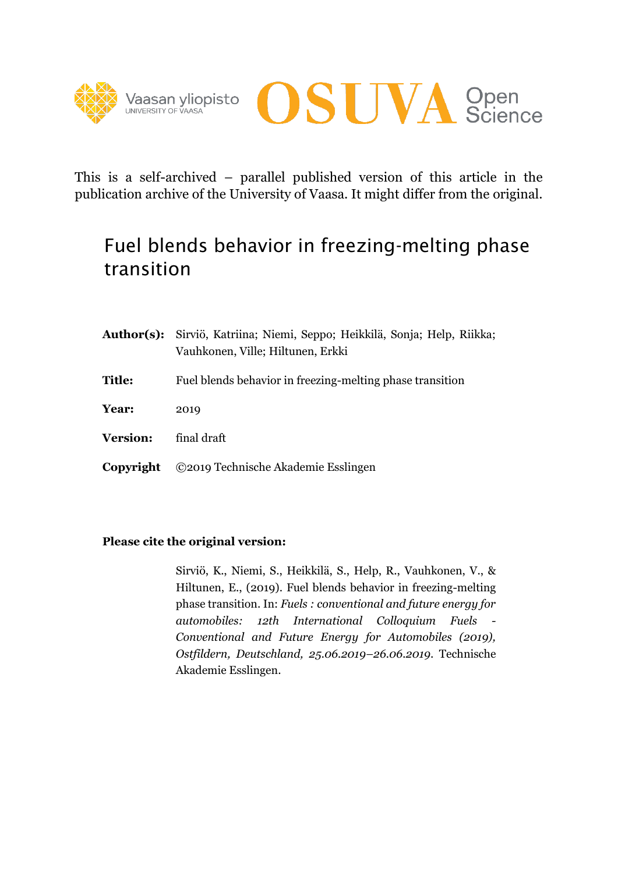



This is a self-archived – parallel published version of this article in the publication archive of the University of Vaasa. It might differ from the original.

# Fuel blends behavior in freezing-melting phase transition

|                 | Author(s): Sirviö, Katriina; Niemi, Seppo; Heikkilä, Sonja; Help, Riikka;<br>Vauhkonen, Ville; Hiltunen, Erkki |  |  |  |  |  |
|-----------------|----------------------------------------------------------------------------------------------------------------|--|--|--|--|--|
| <b>Title:</b>   | Fuel blends behavior in freezing-melting phase transition                                                      |  |  |  |  |  |
| Year:           | 2019                                                                                                           |  |  |  |  |  |
| <b>Version:</b> | final draft                                                                                                    |  |  |  |  |  |
| Copyright       | ©2019 Technische Akademie Esslingen                                                                            |  |  |  |  |  |

### **Please cite the original version:**

Sirviö, K., Niemi, S., Heikkilä, S., Help, R., Vauhkonen, V., & Hiltunen, E., (2019). Fuel blends behavior in freezing-melting phase transition. In: *Fuels : conventional and future energy for automobiles: 12th International Colloquium Fuels - Conventional and Future Energy for Automobiles (2019), Ostfildern, Deutschland, 25.06.2019–26.06.2019*. Technische Akademie Esslingen.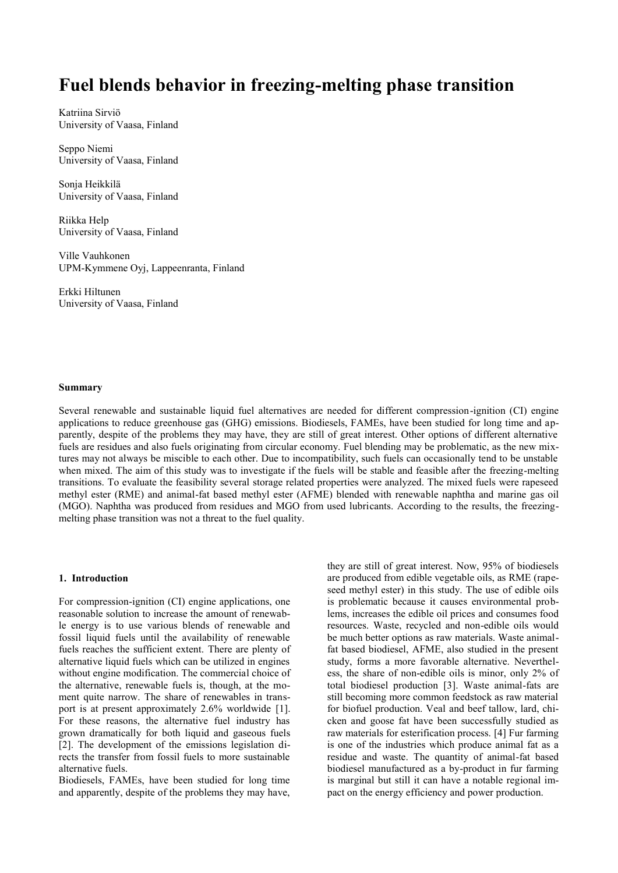## **Fuel blends behavior in freezing-melting phase transition**

Katriina Sirviö University of Vaasa, Finland

Seppo Niemi University of Vaasa, Finland

Sonja Heikkilä University of Vaasa, Finland

Riikka Help University of Vaasa, Finland

Ville Vauhkonen UPM-Kymmene Oyj, Lappeenranta, Finland

Erkki Hiltunen University of Vaasa, Finland

#### **Summary**

Several renewable and sustainable liquid fuel alternatives are needed for different compression-ignition (CI) engine applications to reduce greenhouse gas (GHG) emissions. Biodiesels, FAMEs, have been studied for long time and apparently, despite of the problems they may have, they are still of great interest. Other options of different alternative fuels are residues and also fuels originating from circular economy. Fuel blending may be problematic, as the new mixtures may not always be miscible to each other. Due to incompatibility, such fuels can occasionally tend to be unstable when mixed. The aim of this study was to investigate if the fuels will be stable and feasible after the freezing-melting transitions. To evaluate the feasibility several storage related properties were analyzed. The mixed fuels were rapeseed methyl ester (RME) and animal-fat based methyl ester (AFME) blended with renewable naphtha and marine gas oil (MGO). Naphtha was produced from residues and MGO from used lubricants. According to the results, the freezingmelting phase transition was not a threat to the fuel quality.

#### **1. Introduction**

For compression-ignition (CI) engine applications, one reasonable solution to increase the amount of renewable energy is to use various blends of renewable and fossil liquid fuels until the availability of renewable fuels reaches the sufficient extent. There are plenty of alternative liquid fuels which can be utilized in engines without engine modification. The commercial choice of the alternative, renewable fuels is, though, at the moment quite narrow. The share of renewables in transport is at present approximately 2.6% worldwide [1]. For these reasons, the alternative fuel industry has grown dramatically for both liquid and gaseous fuels [2]. The development of the emissions legislation directs the transfer from fossil fuels to more sustainable alternative fuels.

Biodiesels, FAMEs, have been studied for long time and apparently, despite of the problems they may have, they are still of great interest. Now, 95% of biodiesels are produced from edible vegetable oils, as RME (rapeseed methyl ester) in this study. The use of edible oils is problematic because it causes environmental problems, increases the edible oil prices and consumes food resources. Waste, recycled and non-edible oils would be much better options as raw materials. Waste animalfat based biodiesel, AFME, also studied in the present study, forms a more favorable alternative. Nevertheless, the share of non-edible oils is minor, only 2% of total biodiesel production [3]. Waste animal-fats are still becoming more common feedstock as raw material for biofuel production. Veal and beef tallow, lard, chicken and goose fat have been successfully studied as raw materials for esterification process. [4] Fur farming is one of the industries which produce animal fat as a residue and waste. The quantity of animal-fat based biodiesel manufactured as a by-product in fur farming is marginal but still it can have a notable regional impact on the energy efficiency and power production.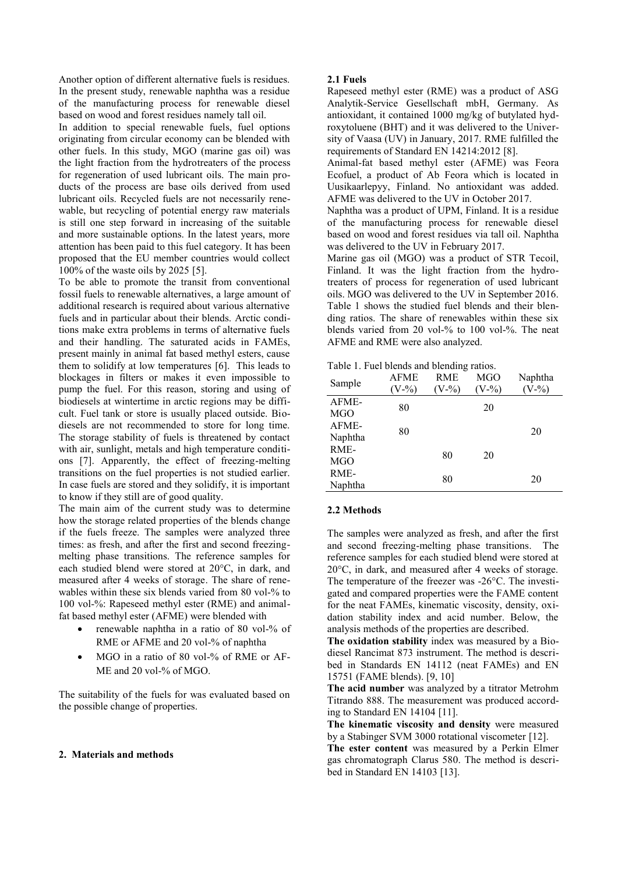Another option of different alternative fuels is residues. In the present study, renewable naphtha was a residue of the manufacturing process for renewable diesel based on wood and forest residues namely tall oil.

In addition to special renewable fuels, fuel options originating from circular economy can be blended with other fuels. In this study, MGO (marine gas oil) was the light fraction from the hydrotreaters of the process for regeneration of used lubricant oils. The main products of the process are base oils derived from used lubricant oils. Recycled fuels are not necessarily renewable, but recycling of potential energy raw materials is still one step forward in increasing of the suitable and more sustainable options. In the latest years, more attention has been paid to this fuel category. It has been proposed that the EU member countries would collect 100% of the waste oils by 2025 [5].

To be able to promote the transit from conventional fossil fuels to renewable alternatives, a large amount of additional research is required about various alternative fuels and in particular about their blends. Arctic conditions make extra problems in terms of alternative fuels and their handling. The saturated acids in FAMEs, present mainly in animal fat based methyl esters, cause them to solidify at low temperatures [6]. This leads to blockages in filters or makes it even impossible to pump the fuel. For this reason, storing and using of biodiesels at wintertime in arctic regions may be difficult. Fuel tank or store is usually placed outside. Biodiesels are not recommended to store for long time. The storage stability of fuels is threatened by contact with air, sunlight, metals and high temperature conditions [7]. Apparently, the effect of freezing-melting transitions on the fuel properties is not studied earlier. In case fuels are stored and they solidify, it is important to know if they still are of good quality.

The main aim of the current study was to determine how the storage related properties of the blends change if the fuels freeze. The samples were analyzed three times: as fresh, and after the first and second freezingmelting phase transitions. The reference samples for each studied blend were stored at 20°C, in dark, and measured after 4 weeks of storage. The share of renewables within these six blends varied from 80 vol-% to 100 vol-%: Rapeseed methyl ester (RME) and animalfat based methyl ester (AFME) were blended with

- renewable naphtha in a ratio of 80 vol-% of RME or AFME and 20 vol-% of naphtha
- MGO in a ratio of 80 vol-% of RME or AF-ME and 20 vol-% of MGO.

The suitability of the fuels for was evaluated based on the possible change of properties.

#### **2. Materials and methods**

#### **2.1 Fuels**

Rapeseed methyl ester (RME) was a product of ASG Analytik-Service Gesellschaft mbH, Germany. As antioxidant, it contained 1000 mg/kg of butylated hydroxytoluene (BHT) and it was delivered to the University of Vaasa (UV) in January, 2017. RME fulfilled the requirements of Standard EN 14214:2012 [8].

Animal-fat based methyl ester (AFME) was Feora Ecofuel, a product of Ab Feora which is located in Uusikaarlepyy, Finland. No antioxidant was added. AFME was delivered to the UV in October 2017.

Naphtha was a product of UPM, Finland. It is a residue of the manufacturing process for renewable diesel based on wood and forest residues via tall oil. Naphtha was delivered to the UV in February 2017.

Marine gas oil (MGO) was a product of STR Tecoil, Finland. It was the light fraction from the hydrotreaters of process for regeneration of used lubricant oils. MGO was delivered to the UV in September 2016. Table 1 shows the studied fuel blends and their blending ratios. The share of renewables within these six blends varied from 20 vol-% to 100 vol-%. The neat AFME and RME were also analyzed.

Table 1. Fuel blends and blending ratios.

| Sample              | <b>AFME</b><br>$(V - \%)$ | RME<br>$V - 9/0$ | MGO<br>$V - \%)$ | Naphtha<br>$V-$ %) |
|---------------------|---------------------------|------------------|------------------|--------------------|
| AFME-<br><b>MGO</b> | 80                        |                  | 20               |                    |
| AFME-<br>Naphtha    | 80                        |                  |                  | 20                 |
| RME-<br><b>MGO</b>  |                           | 80               | 20               |                    |
| RME-<br>Naphtha     |                           | 80               |                  | 20                 |

#### **2.2 Methods**

The samples were analyzed as fresh, and after the first and second freezing-melting phase transitions. The reference samples for each studied blend were stored at 20°C, in dark, and measured after 4 weeks of storage. The temperature of the freezer was -26°C. The investigated and compared properties were the FAME content for the neat FAMEs, kinematic viscosity, density, oxidation stability index and acid number. Below, the analysis methods of the properties are described.

**The oxidation stability** index was measured by a Biodiesel Rancimat 873 instrument. The method is described in Standards EN 14112 (neat FAMEs) and EN 15751 (FAME blends). [9, 10]

**The acid number** was analyzed by a titrator Metrohm Titrando 888. The measurement was produced according to Standard EN 14104 [11].

**The kinematic viscosity and density** were measured by a Stabinger SVM 3000 rotational viscometer [12].

**The ester content** was measured by a Perkin Elmer gas chromatograph Clarus 580. The method is described in Standard EN 14103 [13].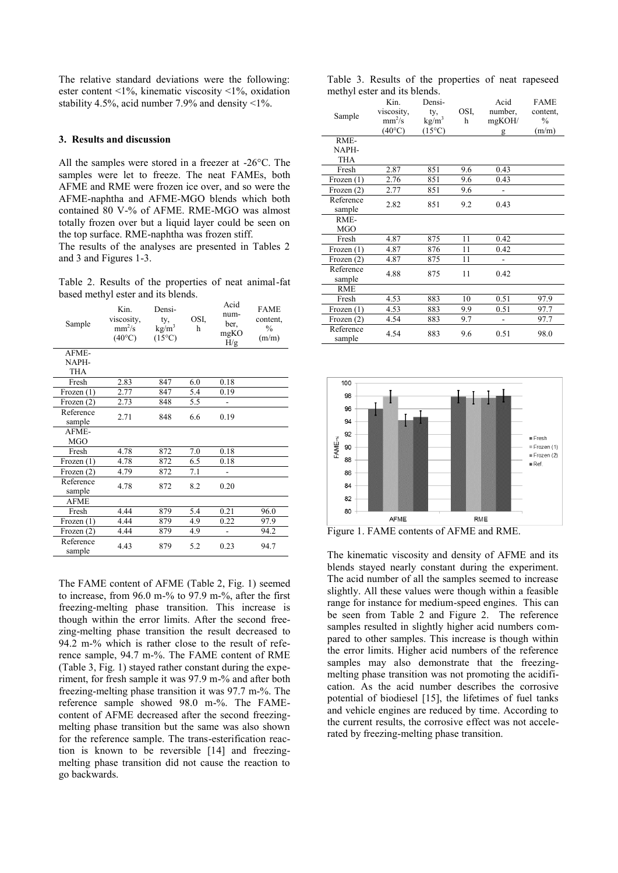The relative standard deviations were the following: ester content <1%, kinematic viscosity <1%, oxidation stability 4.5%, acid number 7.9% and density <1%.

#### **3. Results and discussion**

All the samples were stored in a freezer at -26°C. The samples were let to freeze. The neat FAMEs, both AFME and RME were frozen ice over, and so were the AFME-naphtha and AFME-MGO blends which both contained 80 V-% of AFME. RME-MGO was almost totally frozen over but a liquid layer could be seen on the top surface. RME-naphtha was frozen stiff.

The results of the analyses are presented in Tables 2 and 3 and Figures 1-3.

Table 2. Results of the properties of neat animal-fat based methyl ester and its blends.

| Sample              | Kin.<br>viscosity,<br>$mm^2/s$<br>$(40^{\circ}C)$ | Densi-<br>ty,<br>kg/m <sup>3</sup><br>$(15^{\circ}C)$ | OSI,<br>h | Acid<br>num-<br>ber,<br>mgKO<br>H/g | <b>FAME</b><br>content.<br>$\frac{0}{0}$<br>(m/m) |
|---------------------|---------------------------------------------------|-------------------------------------------------------|-----------|-------------------------------------|---------------------------------------------------|
| AFME-               |                                                   |                                                       |           |                                     |                                                   |
| NAPH-               |                                                   |                                                       |           |                                     |                                                   |
| <b>THA</b>          |                                                   |                                                       |           |                                     |                                                   |
| Fresh               | 2.83                                              | 847                                                   | 6.0       | 0.18                                |                                                   |
| Frozen $(1)$        | 2.77                                              | 847                                                   | 5.4       | 0.19                                |                                                   |
| Frozen (2)          | 2.73                                              | 848                                                   | 5.5       |                                     |                                                   |
| Reference<br>sample | 2.71                                              | 848                                                   | 6.6       | 0.19                                |                                                   |
| AFME-<br><b>MGO</b> |                                                   |                                                       |           |                                     |                                                   |
| Fresh               | 4.78                                              | 872                                                   | 7.0       | 0.18                                |                                                   |
| Frozen $(1)$        | 4.78                                              | 872                                                   | 6.5       | 0.18                                |                                                   |
| Frozen (2)          | 4.79                                              | 872                                                   | 7.1       |                                     |                                                   |
| Reference<br>sample | 4.78                                              | 872                                                   | 8.2       | 0.20                                |                                                   |
| <b>AFME</b>         |                                                   |                                                       |           |                                     |                                                   |
| Fresh               | 4.44                                              | 879                                                   | 5.4       | 0.21                                | 96.0                                              |
| Frozen (1)          | 4.44                                              | 879                                                   | 4.9       | 0.22                                | 97.9                                              |
| Frozen (2)          | 4.44                                              | 879                                                   | 4.9       |                                     | 94.2                                              |
| Reference<br>sample | 4.43                                              | 879                                                   | 5.2       | 0.23                                | 94.7                                              |

The FAME content of AFME (Table 2, Fig. 1) seemed to increase, from 96.0 m-% to 97.9 m-%, after the first freezing-melting phase transition. This increase is though within the error limits. After the second freezing-melting phase transition the result decreased to 94.2 m-% which is rather close to the result of reference sample, 94.7 m-%. The FAME content of RME (Table 3, Fig. 1) stayed rather constant during the experiment, for fresh sample it was 97.9 m-% and after both freezing-melting phase transition it was 97.7 m-%. The reference sample showed 98.0 m-%. The FAMEcontent of AFME decreased after the second freezingmelting phase transition but the same was also shown for the reference sample. The trans-esterification reaction is known to be reversible [14] and freezingmelting phase transition did not cause the reaction to go backwards.

Table 3. Results of the properties of neat rapeseed methyl ester and its blends.

| Sample              | Kin.<br>viscosity,<br>$mm^2/s$<br>$(40^{\circ}C)$ | Densi-<br>ty,<br>$\text{kg/m}^3$<br>$(15^{\circ}C)$ | OSI,<br>h | Acid<br>number,<br>mgKOH/<br>g | <b>FAME</b><br>content,<br>$\frac{0}{0}$<br>(m/m) |
|---------------------|---------------------------------------------------|-----------------------------------------------------|-----------|--------------------------------|---------------------------------------------------|
| RME-                |                                                   |                                                     |           |                                |                                                   |
| NAPH-               |                                                   |                                                     |           |                                |                                                   |
| <b>THA</b>          |                                                   |                                                     |           |                                |                                                   |
| Fresh               | 2.87                                              | 851                                                 | 9.6       | 0.43                           |                                                   |
| Frozen $(1)$        | 2.76                                              | 851                                                 | 9.6       | 0.43                           |                                                   |
| Frozen $(2)$        | 2.77                                              | 851                                                 | 9.6       |                                |                                                   |
| Reference<br>sample | 2.82                                              | 851                                                 | 9.2       | 0.43                           |                                                   |
| RME-<br><b>MGO</b>  |                                                   |                                                     |           |                                |                                                   |
| Fresh               | 4.87                                              | 875                                                 | 11        | 0.42                           |                                                   |
| Frozen (1)          | 4.87                                              | 876                                                 | 11        | 0.42                           |                                                   |
| Frozen $(2)$        | 4.87                                              | 875                                                 | 11        |                                |                                                   |
| Reference<br>sample | 4.88                                              | 875                                                 | 11        | 0.42                           |                                                   |
| <b>RME</b>          |                                                   |                                                     |           |                                |                                                   |
| Fresh               | 4.53                                              | 883                                                 | 10        | 0.51                           | 97.9                                              |
| Frozen $(1)$        | 4.53                                              | 883                                                 | 9.9       | 0.51                           | 97.7                                              |
| Frozen (2)          | 4.54                                              | 883                                                 | 9.7       |                                | 97.7                                              |
| Reference<br>sample | 4.54                                              | 883                                                 | 9.6       | 0.51                           | 98.0                                              |



Figure 1. FAME contents of AFME and RME.

The kinematic viscosity and density of AFME and its blends stayed nearly constant during the experiment. The acid number of all the samples seemed to increase slightly. All these values were though within a feasible range for instance for medium-speed engines. This can be seen from Table 2 and Figure 2. The reference samples resulted in slightly higher acid numbers compared to other samples. This increase is though within the error limits. Higher acid numbers of the reference samples may also demonstrate that the freezingmelting phase transition was not promoting the acidification. As the acid number describes the corrosive potential of biodiesel [15], the lifetimes of fuel tanks and vehicle engines are reduced by time. According to the current results, the corrosive effect was not accelerated by freezing-melting phase transition.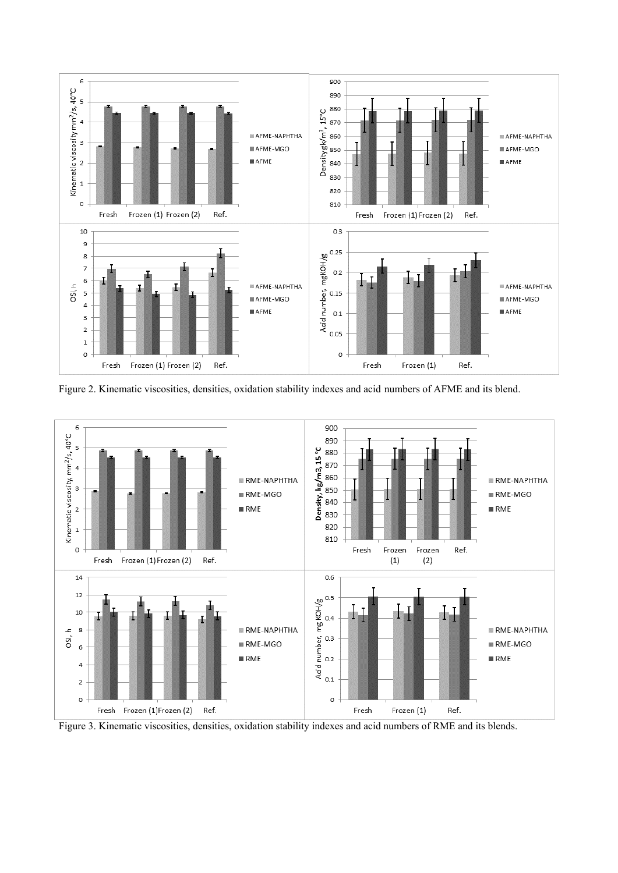

Figure 2. Kinematic viscosities, densities, oxidation stability indexes and acid numbers of AFME and its blend.



Figure 3. Kinematic viscosities, densities, oxidation stability indexes and acid numbers of RME and its blends.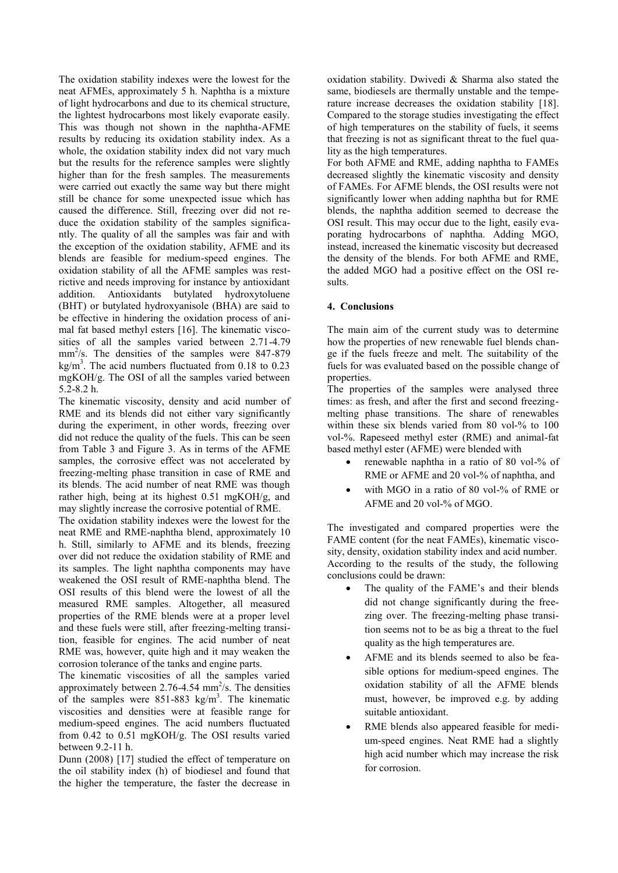The oxidation stability indexes were the lowest for the neat AFMEs, approximately 5 h. Naphtha is a mixture of light hydrocarbons and due to its chemical structure, the lightest hydrocarbons most likely evaporate easily. This was though not shown in the naphtha-AFME results by reducing its oxidation stability index. As a whole, the oxidation stability index did not vary much but the results for the reference samples were slightly higher than for the fresh samples. The measurements were carried out exactly the same way but there might still be chance for some unexpected issue which has caused the difference. Still, freezing over did not reduce the oxidation stability of the samples significantly. The quality of all the samples was fair and with the exception of the oxidation stability, AFME and its blends are feasible for medium-speed engines. The oxidation stability of all the AFME samples was restrictive and needs improving for instance by antioxidant addition. Antioxidants butylated hydroxytoluene (BHT) or butylated hydroxyanisole (BHA) are said to be effective in hindering the oxidation process of animal fat based methyl esters [16]. The kinematic viscosities of all the samples varied between 2.71-4.79  $mm<sup>2</sup>/s$ . The densities of the samples were 847-879 kg/m<sup>3</sup>. The acid numbers fluctuated from  $0.18$  to  $0.23$ mgKOH/g. The OSI of all the samples varied between 5.2-8.2 h.

The kinematic viscosity, density and acid number of RME and its blends did not either vary significantly during the experiment, in other words, freezing over did not reduce the quality of the fuels. This can be seen from Table 3 and Figure 3. As in terms of the AFME samples, the corrosive effect was not accelerated by freezing-melting phase transition in case of RME and its blends. The acid number of neat RME was though rather high, being at its highest 0.51 mgKOH/g, and may slightly increase the corrosive potential of RME.

The oxidation stability indexes were the lowest for the neat RME and RME-naphtha blend, approximately 10 h. Still, similarly to AFME and its blends, freezing over did not reduce the oxidation stability of RME and its samples. The light naphtha components may have weakened the OSI result of RME-naphtha blend. The OSI results of this blend were the lowest of all the measured RME samples. Altogether, all measured properties of the RME blends were at a proper level and these fuels were still, after freezing-melting transition, feasible for engines. The acid number of neat RME was, however, quite high and it may weaken the corrosion tolerance of the tanks and engine parts.

The kinematic viscosities of all the samples varied approximately between  $2.76 - 4.54$  mm<sup>2</sup>/s. The densities of the samples were  $851-883$  kg/m<sup>3</sup>. The kinematic viscosities and densities were at feasible range for medium-speed engines. The acid numbers fluctuated from 0.42 to 0.51 mgKOH/g. The OSI results varied between 9.2-11 h.

Dunn (2008) [17] studied the effect of temperature on the oil stability index (h) of biodiesel and found that the higher the temperature, the faster the decrease in

oxidation stability. Dwivedi & Sharma also stated the same, biodiesels are thermally unstable and the temperature increase decreases the oxidation stability [18]. Compared to the storage studies investigating the effect of high temperatures on the stability of fuels, it seems that freezing is not as significant threat to the fuel quality as the high temperatures.

For both AFME and RME, adding naphtha to FAMEs decreased slightly the kinematic viscosity and density of FAMEs. For AFME blends, the OSI results were not significantly lower when adding naphtha but for RME blends, the naphtha addition seemed to decrease the OSI result. This may occur due to the light, easily evaporating hydrocarbons of naphtha. Adding MGO, instead, increased the kinematic viscosity but decreased the density of the blends. For both AFME and RME, the added MGO had a positive effect on the OSI results.

#### **4. Conclusions**

The main aim of the current study was to determine how the properties of new renewable fuel blends change if the fuels freeze and melt. The suitability of the fuels for was evaluated based on the possible change of properties.

The properties of the samples were analysed three times: as fresh, and after the first and second freezingmelting phase transitions. The share of renewables within these six blends varied from 80 vol-% to 100 vol-%. Rapeseed methyl ester (RME) and animal-fat based methyl ester (AFME) were blended with

- renewable naphtha in a ratio of 80 vol-% of RME or AFME and 20 vol-% of naphtha, and
- with MGO in a ratio of 80 vol-% of RME or AFME and 20 vol-% of MGO.

The investigated and compared properties were the FAME content (for the neat FAMEs), kinematic viscosity, density, oxidation stability index and acid number. According to the results of the study, the following conclusions could be drawn:

- The quality of the FAME's and their blends did not change significantly during the freezing over. The freezing-melting phase transition seems not to be as big a threat to the fuel quality as the high temperatures are.
- AFME and its blends seemed to also be feasible options for medium-speed engines. The oxidation stability of all the AFME blends must, however, be improved e.g. by adding suitable antioxidant.
- RME blends also appeared feasible for medium-speed engines. Neat RME had a slightly high acid number which may increase the risk for corrosion.